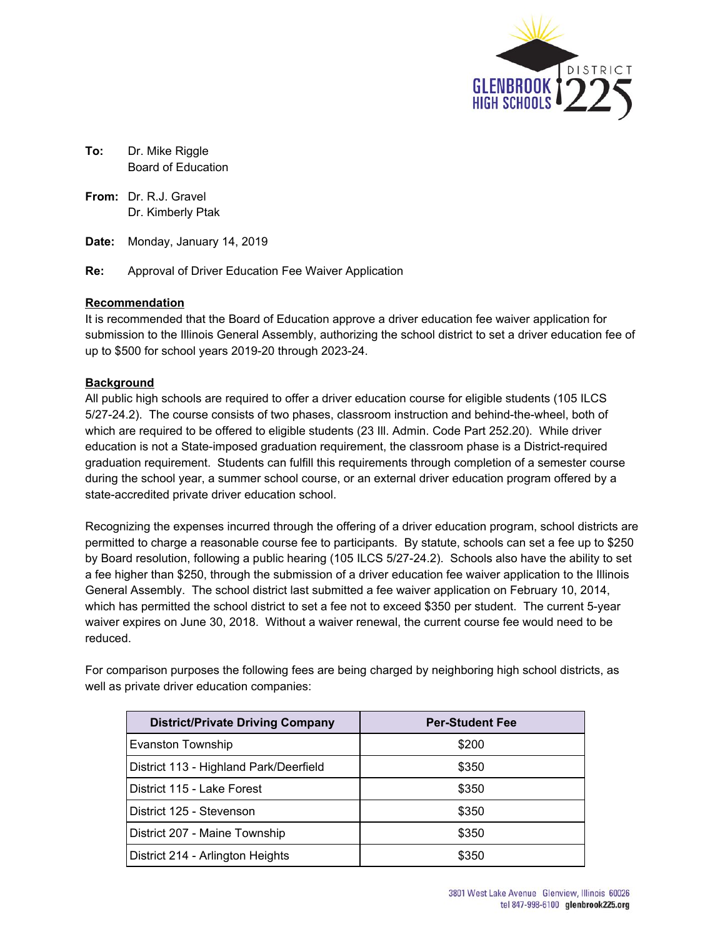

- **To:** Dr. Mike Riggle Board of Education
- **From:** Dr. R.J. Gravel Dr. Kimberly Ptak
- **Date:** Monday, January 14, 2019
- **Re:** Approval of Driver Education Fee Waiver Application

## **Recommendation**

It is recommended that the Board of Education approve a driver education fee waiver application for submission to the Illinois General Assembly, authorizing the school district to set a driver education fee of up to \$500 for school years 2019-20 through 2023-24.

# **Background**

All public high schools are required to offer a driver education course for eligible students (105 ILCS 5/27-24.2). The course consists of two phases, classroom instruction and behind-the-wheel, both of which are required to be offered to eligible students (23 Ill. Admin. Code Part 252.20). While driver education is not a State-imposed graduation requirement, the classroom phase is a District-required graduation requirement. Students can fulfill this requirements through completion of a semester course during the school year, a summer school course, or an external driver education program offered by a state-accredited private driver education school.

Recognizing the expenses incurred through the offering of a driver education program, school districts are permitted to charge a reasonable course fee to participants. By statute, schools can set a fee up to \$250 by Board resolution, following a public hearing (105 ILCS 5/27-24.2). Schools also have the ability to set a fee higher than \$250, through the submission of a driver education fee waiver application to the Illinois General Assembly. The school district last submitted a fee waiver application on February 10, 2014, which has permitted the school district to set a fee not to exceed \$350 per student. The current 5-year waiver expires on June 30, 2018. Without a waiver renewal, the current course fee would need to be reduced.

For comparison purposes the following fees are being charged by neighboring high school districts, as well as private driver education companies:

| <b>District/Private Driving Company</b> | <b>Per-Student Fee</b> |
|-----------------------------------------|------------------------|
| Evanston Township                       | \$200                  |
| District 113 - Highland Park/Deerfield  | \$350                  |
| District 115 - Lake Forest              | \$350                  |
| District 125 - Stevenson                | \$350                  |
| District 207 - Maine Township           | \$350                  |
| District 214 - Arlington Heights        | \$350                  |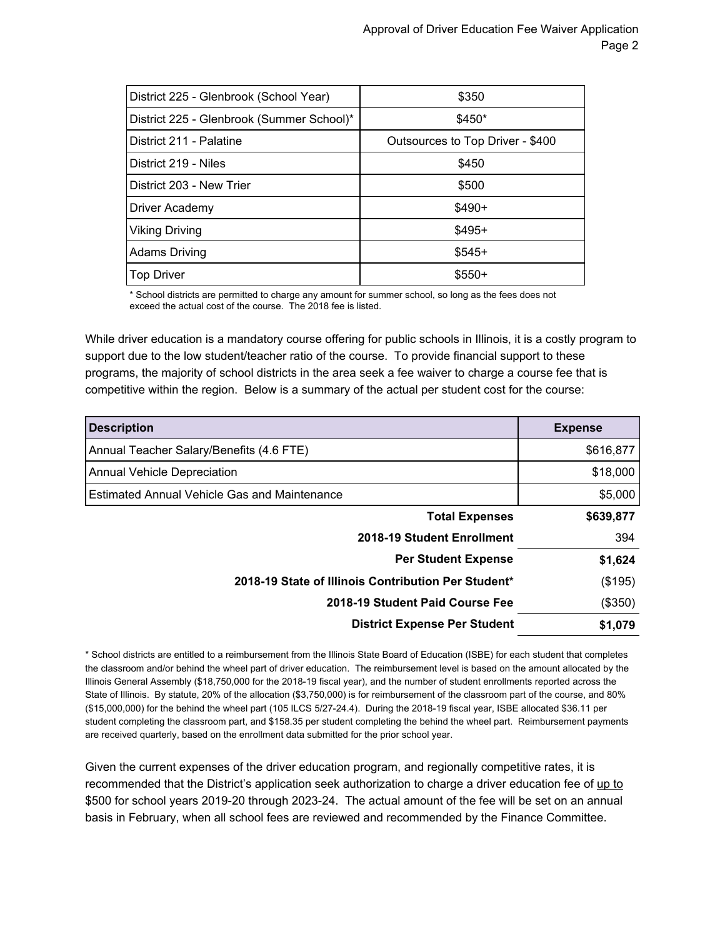| District 225 - Glenbrook (School Year)    | \$350                            |  |
|-------------------------------------------|----------------------------------|--|
| District 225 - Glenbrook (Summer School)* | \$450*                           |  |
| District 211 - Palatine                   | Outsources to Top Driver - \$400 |  |
| District 219 - Niles                      | \$450                            |  |
| District 203 - New Trier                  | \$500                            |  |
| Driver Academy                            | $$490+$                          |  |
| Viking Driving                            | $$495+$                          |  |
| <b>Adams Driving</b>                      | $$545+$                          |  |
| <b>Top Driver</b>                         | $$550+$                          |  |

\* School districts are permitted to charge any amount for summer school, so long as the fees does not exceed the actual cost of the course. The 2018 fee is listed.

While driver education is a mandatory course offering for public schools in Illinois, it is a costly program to support due to the low student/teacher ratio of the course. To provide financial support to these programs, the majority of school districts in the area seek a fee waiver to charge a course fee that is competitive within the region. Below is a summary of the actual per student cost for the course:

| <b>Description</b>                                  | <b>Expense</b> |
|-----------------------------------------------------|----------------|
| Annual Teacher Salary/Benefits (4.6 FTE)            | \$616,877      |
| <b>Annual Vehicle Depreciation</b>                  | \$18,000       |
| <b>Estimated Annual Vehicle Gas and Maintenance</b> | \$5,000        |
| <b>Total Expenses</b>                               | \$639,877      |
| 2018-19 Student Enrollment                          | 394            |
| <b>Per Student Expense</b>                          | \$1,624        |
| 2018-19 State of Illinois Contribution Per Student* | (\$195)        |
| 2018-19 Student Paid Course Fee                     | (\$350)        |
| <b>District Expense Per Student</b>                 | \$1,079        |

\* School districts are entitled to a reimbursement from the Illinois State Board of Education (ISBE) for each student that completes the classroom and/or behind the wheel part of driver education. The reimbursement level is based on the amount allocated by the Illinois General Assembly (\$18,750,000 for the 2018-19 fiscal year), and the number of student enrollments reported across the State of Illinois. By statute, 20% of the allocation (\$3,750,000) is for reimbursement of the classroom part of the course, and 80% (\$15,000,000) for the behind the wheel part (105 ILCS 5/27-24.4). During the 2018-19 fiscal year, ISBE allocated \$36.11 per student completing the classroom part, and \$158.35 per student completing the behind the wheel part. Reimbursement payments are received quarterly, based on the enrollment data submitted for the prior school year.

Given the current expenses of the driver education program, and regionally competitive rates, it is recommended that the District's application seek authorization to charge a driver education fee of up to \$500 for school years 2019-20 through 2023-24. The actual amount of the fee will be set on an annual basis in February, when all school fees are reviewed and recommended by the Finance Committee.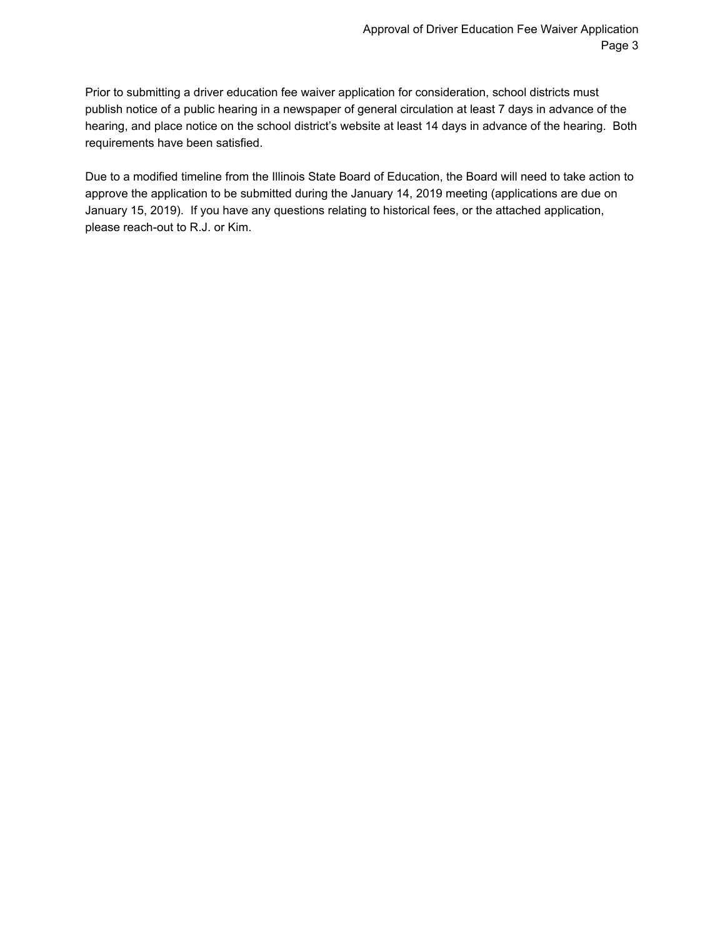Prior to submitting a driver education fee waiver application for consideration, school districts must publish notice of a public hearing in a newspaper of general circulation at least 7 days in advance of the hearing, and place notice on the school district's website at least 14 days in advance of the hearing. Both requirements have been satisfied.

Due to a modified timeline from the Illinois State Board of Education, the Board will need to take action to approve the application to be submitted during the January 14, 2019 meeting (applications are due on January 15, 2019). If you have any questions relating to historical fees, or the attached application, please reach-out to R.J. or Kim.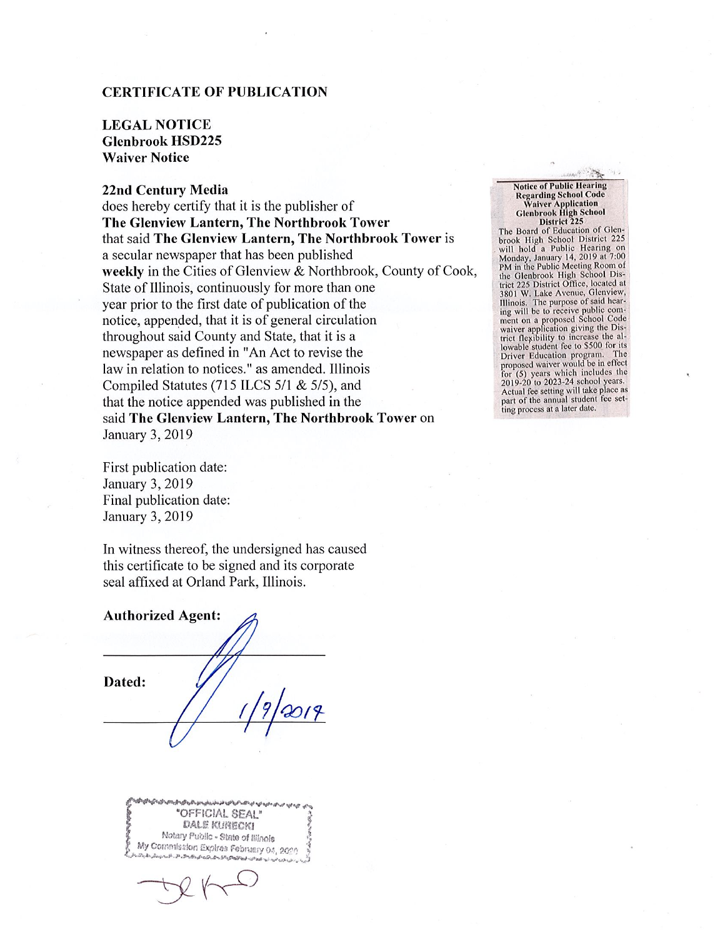## **CERTIFICATE OF PUBLICATION**

# **LEGAL NOTICE Glenbrook HSD225 Waiver Notice**

### 22nd Century Media

does hereby certify that it is the publisher of The Glenview Lantern, The Northbrook Tower that said The Glenview Lantern, The Northbrook Tower is a secular newspaper that has been published weekly in the Cities of Glenview & Northbrook, County of Cook, State of Illinois, continuously for more than one year prior to the first date of publication of the notice, appended, that it is of general circulation throughout said County and State, that it is a newspaper as defined in "An Act to revise the law in relation to notices." as amended. Illinois Compiled Statutes (715 ILCS 5/1 & 5/5), and that the notice appended was published in the said The Glenview Lantern, The Northbrook Tower on January 3, 2019

First publication date: January 3, 2019 Final publication date: January 3, 2019

In witness thereof, the undersigned has caused this certificate to be signed and its corporate seal affixed at Orland Park, Illinois.

**Authorized Agent:** Dated:

"OFFICIAL SEAL" DALE KURECKI Notary Public - State of Illinois My Commission Expires February 04, 2020 いやめいからんかっかいのかいかい

**Notice of Public Hearing Regarding School Code** Waiver Application<br>Glenbrook High School District 225 The Board of Education of Glenbrook High School District 225 will hold a Public Hearing on Monday, January 14, 2019 at 7:00<br>PM in the Public Meeting Room of the Glenbrook High School District 225 District Office, located at 3801 W. Lake Avenue, Glenview, Illinois. The purpose of said hear-<br>ing will be to receive public commg will be to receive public School Code<br>waiver application giving the District flexibility to increase the al-<br>lowable student fee to \$500 for its Driver Education program. The<br>proposed waiver would be in effect for  $(5)$  years which includes the 2019-20 to 2023-24 school years. Actual fee setting will take place as part of the annual student fee set-<br>ting process at a later date.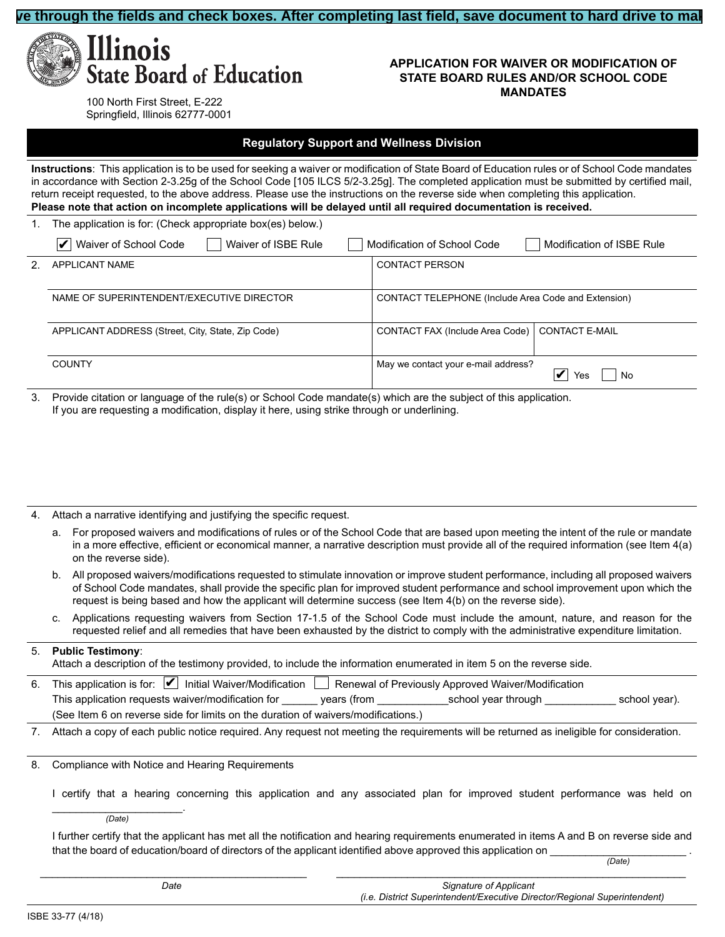#### **ve through the fields and check boxes. After completing last field, save document to hard drive to ma**



#### **APPLICATION FOR WAIVER OR MODIFICATION OF STATE BOARD RULES AND/OR SCHOOL CODE MANDATES**

100 North First Street, E-222 Springfield, Illinois 62777-0001

#### **Regulatory Support and Wellness Division**

**Instructions**: This application is to be used for seeking a waiver or modification of State Board of Education rules or of School Code mandates in accordance with Section 2-3.25g of the School Code [105 ILCS 5/2-3.25g]. The completed application must be submitted by certified mail, return receipt requested, to the above address. Please use the instructions on the reverse side when completing this application. **Please note that action on incomplete applications will be delayed until all required documentation is received.**

The application is for: (Check appropriate box(es) below.)

|                | Waiver of School Code<br>Waiver of ISBE Rule<br>V                                          | Modification of School Code                                         | Modification of ISBE Rule                       |
|----------------|--------------------------------------------------------------------------------------------|---------------------------------------------------------------------|-------------------------------------------------|
| 2 <sup>2</sup> | APPLICANT NAME<br>Northfield Township District 225                                         | <b>CONTACT PERSON</b><br>Dr. Kimberly Ptak                          |                                                 |
|                | NAME OF SUPERINTENDENT/EXECUTIVE DIRECTOR<br>Dr. Mike Riggle                               | CONTACT TELEPHONE (Include Area Code and Extension)<br>847-486-4722 |                                                 |
|                | APPLICANT ADDRESS (Street, City, State, Zip Code)<br>3801 W. Lake Ave, Glenview, IL. 60026 | CONTACT FAX (Include Area Code)<br>847-486-4734                     | <b>CONTACT E-MAIL</b><br>kptak@glenbrook225.org |
|                | <b>COUNTY</b><br>Cook                                                                      | May we contact your e-mail address?                                 | V<br><b>No</b><br>Yes                           |

Provide citation or language of the rule(s) or School Code mandate(s) which are the subject of this application. If you are requesting a modification, display it here, using strike through or underlining.

See attached supporting documentation

- 4. Attach a narrative identifying and justifying the specific request.
	- a. For proposed waivers and modifications of rules or of the School Code that are based upon meeting the intent of the rule or mandate in a more effective, efficient or economical manner, a narrative description must provide all of the required information (see Item 4(a) on the reverse side).
	- b. All proposed waivers/modifications requested to stimulate innovation or improve student performance, including all proposed waivers of School Code mandates, shall provide the specific plan for improved student performance and school improvement upon which the request is being based and how the applicant will determine success (see Item  $4(b)$  on the reverse side).
	- c. Applications requesting waivers from Section 17-1.5 of the School Code must include the amount, nature, and reason for the requested relief and all remedies that have been exhausted by the district to comply with the administrative expenditure limitation.

#### **Public Testimony**:

Attach a description of the testimony provided, to include the information enumerated in item 5 on the reverse side.

6. This application is for:  $\blacktriangledown$  Initial Waiver/Modification  $\Box$  Renewal of Previously Approved Waiver/Modification This application requests waiver/modification for 5 years (from FY19/20 school year through FY23/24 school year). (See Item 6 on reverse side for limits on the duration of waivers/modifications.) FY19/20 school year through

7. Attach a copy of each public notice required. Any request not meeting the requirements will be returned as ineligible for consideration.

8. Compliance with Notice and Hearing Requirements

I certify that a hearing concerning this application and any associated plan for improved student performance was held on Monday, January 14, 2019. *(Date)*

I further certify that the applicant has met all the notification and hearing requirements enumerated in items A and B on reverse side and that the board of education/board of directors of the applicant identified above approved this application on Monday, January 14, 2019

BBBBBBBBBBBBBBBBBBBBBBBBBBBBBBBBBBBBBBBBBBBBBBBBBBBBBBBBBBBBBBBBBBBBBBBBBBBBBBBBBBBBBBBBBBBBBBBBBBBBBBBB Monday, January 14, 2019*Date Signature of Applicant*

*(i.e. District Superintendent/Executive Director/Regional Superintendent)*

*(Date)*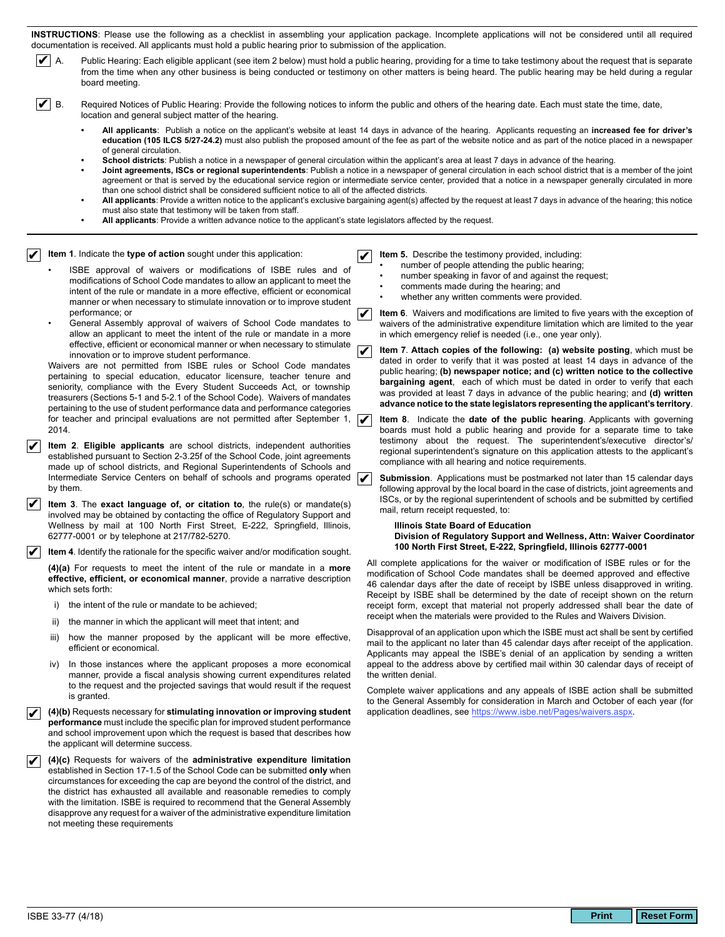INSTRUCTIONS: Please use the following as a checklist in assembling your application package. Incomplete applications will not be considered until all required documentation is received. All applicants must hold a public hearing prior to submission of the application.

 $\nu$  A.

from the time when any other business is being conducted or testimony on other matters is being heard. The public hearing may be held during a regular board meeting.

 $\triangledown$  B. Required Notices of Public Hearing: Provide the following notices to inform the public and others of the hearing date. Each must state the time, date, location and general subject matter of the hearing.

All applicants: Publish a notice on the applicant's website at least 14 days in advance of the hearing. Applicants requesting an increased fee for driver's education (105 ILCS 5/27-24.2) must also publish the proposed amount of the fee as part of the website notice and as part of the notice placed in a newspaper of general circulation.

Public Hearing: Each eligible applicant (see item 2 below) must hold a public hearing, providing for a time to take testimony about the request that is separate

- School districts: Publish a notice in a newspaper of general circulation within the applicant's area at least 7 days in advance of the hearing.
- Joint agreements, ISCs or regional superintendents: Publish a notice in a newspaper of general circulation in each school district that is a member of the joint agreement or that is served by the educational service region or intermediate service center, provided that a notice in a newspaper generally circulated in more than one school district shall be considered sufficient notice to all of the affected districts.
- All applicants: Provide a written notice to the applicant's exclusive bargaining agent(s) affected by the request at least 7 days in advance of the hearing; this notice must also state that testimony will be taken from staff.
- All applicants: Provide a written advance notice to the applicant's state legislators affected by the request.

#### Item 1. Indicate the type of action sought under this application:

- ISBE approval of waivers or modifications of ISBE rules and of modifications of School Code mandates to allow an applicant to meet the intent of the rule or mandate in a more effective, efficient or economical manner or when necessary to stimulate innovation or to improve student performance: or
- $\boldsymbol{\nu}$ General Assembly approval of waivers of School Code mandates to allow an applicant to meet the intent of the rule or mandate in a more effective, efficient or economical manner or when necessary to stimulate innovation or to improve student performance.

Waivers are not permitted from ISBE rules or School Code mandates pertaining to special education, educator licensure, teacher tenure and seniority, compliance with the Every Student Succeeds Act, or township treasurers (Sections 5-1 and 5-2.1 of the School Code). Waivers of mandates pertaining to the use of student performance data and performance categories for teacher and principal evaluations are not permitted after September 1, 2014.

- Item 2. Eligible applicants are school districts, independent authorities established pursuant to Section 2-3.25f of the School Code, joint agreements made up of school districts, and Regional Superintendents of Schools and Intermediate Service Centers on behalf of schools and programs operated **V** by them.
- Item 3. The exact language of, or citation to, the rule(s) or mandate(s) involved may be obtained by contacting the office of Regulatory Support and Wellness by mail at 100 North First Street, E-222, Springfield, Illinois, 62777-0001 or by telephone at 217/782-5270.

 $\mathcal{V}$  Item 4. Identify the rationale for the specific waiver and/or modification sought.

(4)(a) For requests to meet the intent of the rule or mandate in a more effective, efficient, or economical manner, provide a narrative description which sets forth:

- i) the intent of the rule or mandate to be achieved;
- ii) the manner in which the applicant will meet that intent; and
- iii) how the manner proposed by the applicant will be more effective, efficient or economical
- In those instances where the applicant proposes a more economical iv) manner, provide a fiscal analysis showing current expenditures related to the request and the projected savings that would result if the request is granted.

(4)(b) Requests necessary for stimulating innovation or improving student  $\boldsymbol{\nu}$ performance must include the specific plan for improved student performance and school improvement upon which the request is based that describes how the applicant will determine success.

(4)(c) Requests for waivers of the administrative expenditure limitation established in Section 17-1.5 of the School Code can be submitted only when circumstances for exceeding the cap are beyond the control of the district, and the district has exhausted all available and reasonable remedies to comply with the limitation. ISBE is required to recommend that the General Assembly disapprove any request for a waiver of the administrative expenditure limitation not meeting these requirements

- Item 5. Describe the testimony provided, including:  $\boldsymbol{V}$ 
	- number of people attending the public hearing;
	- number speaking in favor of and against the request;
	- comments made during the hearing; and
	- whether any written comments were provided.
	- Item 6. Waivers and modifications are limited to five years with the exception of waivers of the administrative expenditure limitation which are limited to the year in which emergency relief is needed (i.e., one year only). Item 7. Attach copies of the following: (a) website posting, which must be
	- dated in order to verify that it was posted at least 14 days in advance of the public hearing; (b) newspaper notice; and (c) written notice to the collective **bargaining agent**. each of which must be dated in order to verify that each was provided at least 7 days in advance of the public hearing; and (d) written advance notice to the state legislators representing the applicant's territory.
- Item 8. Indicate the date of the public hearing. Applicants with governing  $\boldsymbol{\mathcal{V}}$ boards must hold a public hearing and provide for a separate time to take testimony about the request. The superintendent's/executive director's/ regional superintendent's signature on this application attests to the applicant's compliance with all hearing and notice requirements.

Submission. Applications must be postmarked not later than 15 calendar days following approval by the local board in the case of districts, joint agreements and ISCs, or by the regional superintendent of schools and be submitted by certified mail, return receipt requested, to:

#### Illinois State Board of Education Division of Regulatory Support and Wellness, Attn: Waiver Coordinator 100 North First Street, E-222, Springfield, Illinois 62777-0001

All complete applications for the waiver or modification of ISBE rules or for the modification of School Code mandates shall be deemed approved and effective 46 calendar days after the date of receipt by ISBE unless disapproved in writing. Receipt by ISBE shall be determined by the date of receipt shown on the return receipt form, except that material not properly addressed shall bear the date of receipt when the materials were provided to the Rules and Waivers Division.

Disapproval of an application upon which the ISBE must act shall be sent by certified mail to the applicant no later than 45 calendar days after receipt of the application. Applicants may appeal the ISBE's denial of an application by sending a written appeal to the address above by certified mail within 30 calendar days of receipt of the written denial.

Complete waiver applications and any appeals of ISBE action shall be submitted to the General Assembly for consideration in March and October of each year (for application deadlines, see https://www.isbe.net/Pages/waivers.aspx.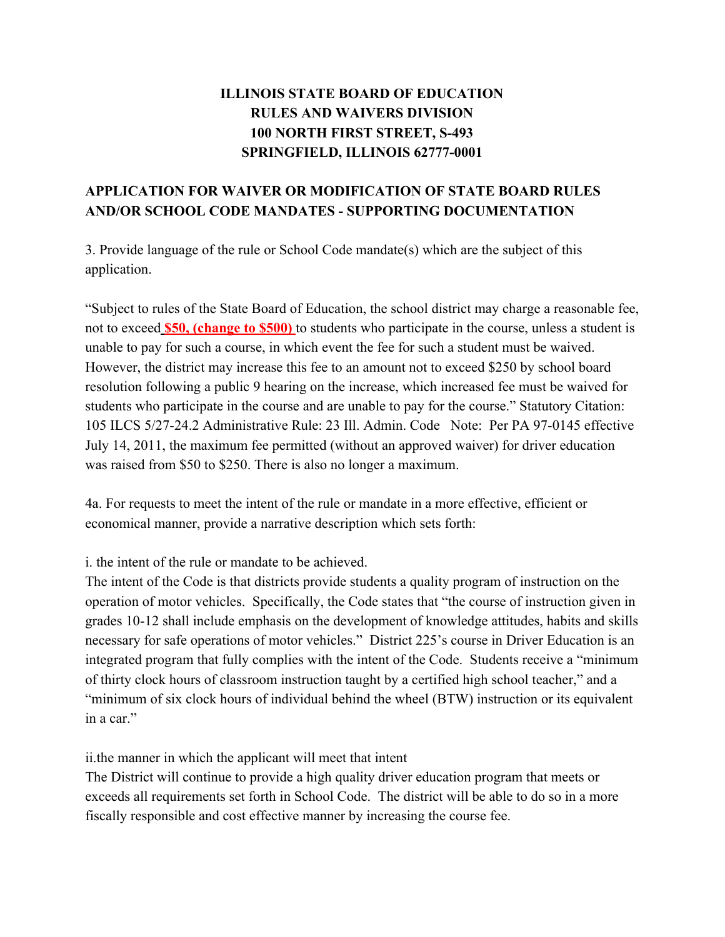# **ILLINOIS STATE BOARD OF EDUCATION RULES AND WAIVERS DIVISION 100 NORTH FIRST STREET, S-493 SPRINGFIELD, ILLINOIS 62777-0001**

# **APPLICATION FOR WAIVER OR MODIFICATION OF STATE BOARD RULES AND/OR SCHOOL CODE MANDATES - SUPPORTING DOCUMENTATION**

3. Provide language of the rule or School Code mandate(s) which are the subject of this application.

"Subject to rules of the State Board of Education, the school district may charge a reasonable fee, not to exceed **\$50, (change to \$500)** to students who participate in the course, unless a student is unable to pay for such a course, in which event the fee for such a student must be waived. However, the district may increase this fee to an amount not to exceed \$250 by school board resolution following a public 9 hearing on the increase, which increased fee must be waived for students who participate in the course and are unable to pay for the course." Statutory Citation: 105 ILCS 5/27-24.2 Administrative Rule: 23 Ill. Admin. Code Note: Per PA 97-0145 effective July 14, 2011, the maximum fee permitted (without an approved waiver) for driver education was raised from \$50 to \$250. There is also no longer a maximum.

4a. For requests to meet the intent of the rule or mandate in a more effective, efficient or economical manner, provide a narrative description which sets forth:

# i. the intent of the rule or mandate to be achieved.

The intent of the Code is that districts provide students a quality program of instruction on the operation of motor vehicles. Specifically, the Code states that "the course of instruction given in grades 10-12 shall include emphasis on the development of knowledge attitudes, habits and skills necessary for safe operations of motor vehicles." District 225's course in Driver Education is an integrated program that fully complies with the intent of the Code. Students receive a "minimum of thirty clock hours of classroom instruction taught by a certified high school teacher," and a "minimum of six clock hours of individual behind the wheel (BTW) instruction or its equivalent in a car."

ii.the manner in which the applicant will meet that intent

The District will continue to provide a high quality driver education program that meets or exceeds all requirements set forth in School Code. The district will be able to do so in a more fiscally responsible and cost effective manner by increasing the course fee.